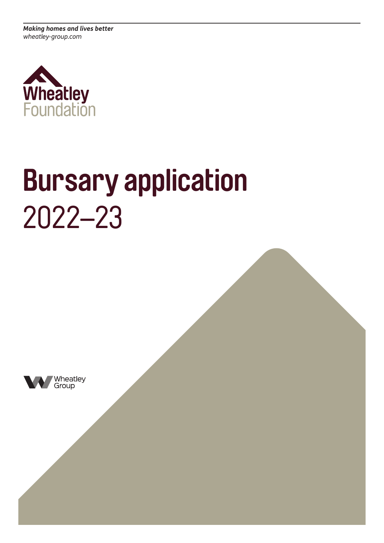*Making homes and lives better wheatley-group.com*



# **Bursary application** 2022–23

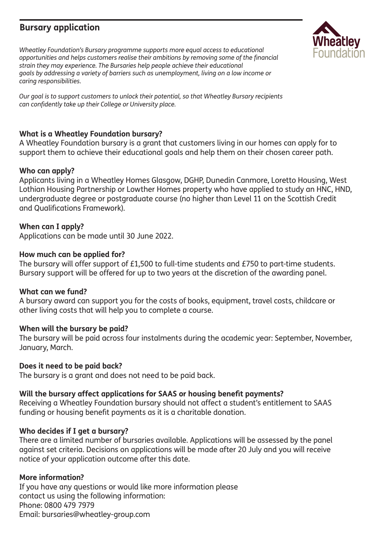### **Bursary application**

*Wheatley Foundation's Bursary programme supports more equal access to educational opportunities and helps customers realise their ambitions by removing some of the financial strain they may experience. The Bursaries help people achieve their educational goals by addressing a variety of barriers such as unemployment, living on a low income or caring responsibilities.*

*Our goal is to support customers to unlock their potential, so that Wheatley Bursary recipients can confidently take up their College or University place.*

#### **What is a Wheatley Foundation bursary?**

A Wheatley Foundation bursary is a grant that customers living in our homes can apply for to support them to achieve their educational goals and help them on their chosen career path.

#### **Who can apply?**

Applicants living in a Wheatley Homes Glasgow, DGHP, Dunedin Canmore, Loretto Housing, West Lothian Housing Partnership or Lowther Homes property who have applied to study an HNC, HND, undergraduate degree or postgraduate course (no higher than Level 11 on the Scottish Credit and Qualifications Framework).

#### **When can I apply?**

Applications can be made until 30 June 2022.

#### **How much can be applied for?**

The bursary will offer support of £1,500 to full-time students and £750 to part-time students. Bursary support will be offered for up to two years at the discretion of the awarding panel.

#### **What can we fund?**

A bursary award can support you for the costs of books, equipment, travel costs, childcare or other living costs that will help you to complete a course.

#### **When will the bursary be paid?**

The bursary will be paid across four instalments during the academic year: September, November, January, March.

#### **Does it need to be paid back?**

The bursary is a grant and does not need to be paid back.

#### **Will the bursary affect applications for SAAS or housing benefit payments?**

Receiving a Wheatley Foundation bursary should not affect a student's entitlement to SAAS funding or housing benefit payments as it is a charitable donation.

#### **Who decides if I get a bursary?**

There are a limited number of bursaries available. Applications will be assessed by the panel against set criteria. Decisions on applications will be made after 20 July and you will receive notice of your application outcome after this date.

#### **More information?**

If you have any questions or would like more information please contact us using the following information: Phone: 0800 479 7979 Email: bursaries@wheatley-group.com

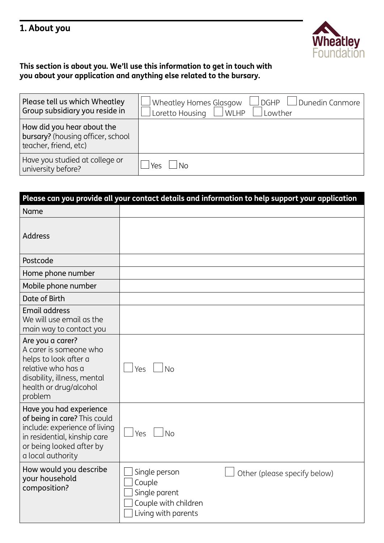## **1. About you**



#### **This section is about you. We'll use this information to get in touch with you about your application and anything else related to the bursary.**

| Please tell us which Wheatley<br>Group subsidiary you reside in                          | Wheatley Homes Glasgow<br>DGHP UDunedin Canmore<br>Loretto Housing $\vert$<br>$\Box$ WLHP<br>Lowther |
|------------------------------------------------------------------------------------------|------------------------------------------------------------------------------------------------------|
| How did you hear about the<br>bursary? (housing officer, school<br>teacher, friend, etc) |                                                                                                      |
| Have you studied at college or<br>university before?                                     | Yρς                                                                                                  |

| Please can you provide all your contact details and information to help support your application                                                                          |                                                                                                                         |  |
|---------------------------------------------------------------------------------------------------------------------------------------------------------------------------|-------------------------------------------------------------------------------------------------------------------------|--|
| <b>Name</b>                                                                                                                                                               |                                                                                                                         |  |
| <b>Address</b>                                                                                                                                                            |                                                                                                                         |  |
| Postcode                                                                                                                                                                  |                                                                                                                         |  |
| Home phone number                                                                                                                                                         |                                                                                                                         |  |
| Mobile phone number                                                                                                                                                       |                                                                                                                         |  |
| Date of Birth                                                                                                                                                             |                                                                                                                         |  |
| <b>Email address</b><br>We will use email as the<br>main way to contact you                                                                                               |                                                                                                                         |  |
| Are you a carer?<br>A carer is someone who<br>helps to look after a<br>relative who has a<br>disability, illness, mental<br>health or drug/alcohol<br>problem             | Yes<br>No                                                                                                               |  |
| Have you had experience<br>of being in care? This could<br>include: experience of living<br>in residential, kinship care<br>or being looked after by<br>a local authority | <b>No</b><br>Yes                                                                                                        |  |
| How would you describe<br>your household<br>composition?                                                                                                                  | Single person<br>Other (please specify below)<br>Couple<br>Single parent<br>Couple with children<br>Living with parents |  |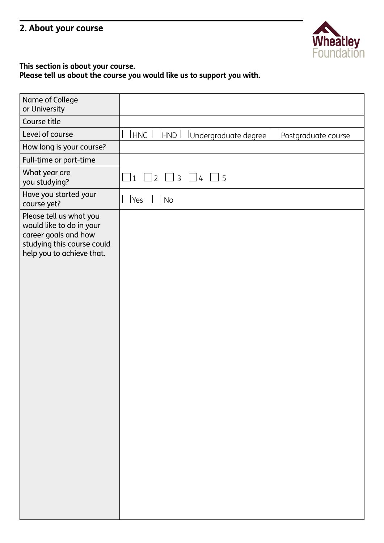## **2. About your course**



#### **This section is about your course.**

**Please tell us about the course you would like us to support you with.**

| Name of College<br>or University                                                                                                       |                                                                      |
|----------------------------------------------------------------------------------------------------------------------------------------|----------------------------------------------------------------------|
| Course title                                                                                                                           |                                                                      |
| Level of course                                                                                                                        | <b>HNC</b><br>HND  <br>Undergraduate degree  <br>Postgraduate course |
| How long is your course?                                                                                                               |                                                                      |
| Full-time or part-time                                                                                                                 |                                                                      |
| What year are<br>you studying?                                                                                                         | $\Box$ 3 $\Box$ 4 $\Box$ 5<br>$\mathbf{1}$<br>$\overline{2}$         |
| Have you started your<br>course yet?                                                                                                   | Yes<br><b>No</b><br>×                                                |
| Please tell us what you<br>would like to do in your<br>career goals and how<br>studying this course could<br>help you to achieve that. |                                                                      |
|                                                                                                                                        |                                                                      |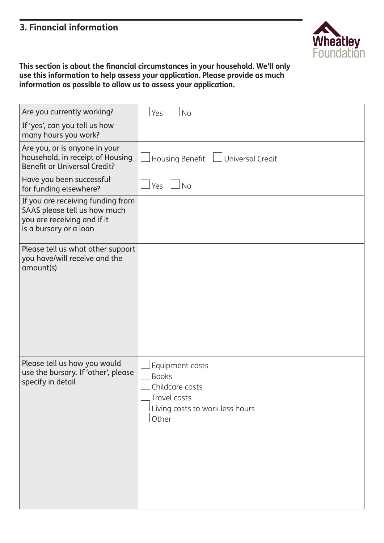## **3. Financial information**



**This section is about the financial circumstances in your household. We'll only use this information to help assess your application. Please provide as much information as possible to allow us to assess your application.**

| Are you currently working?                                                                                                 | <b>No</b><br>Yes                                                                                               |
|----------------------------------------------------------------------------------------------------------------------------|----------------------------------------------------------------------------------------------------------------|
| If 'yes', can you tell us how<br>many hours you work?                                                                      |                                                                                                                |
| Are you, or is anyone in your<br>household, in receipt of Housing<br><b>Benefit or Universal Credit?</b>                   | Housing Benefit LUniversal Credit                                                                              |
| Have you been successful<br>for funding elsewhere?                                                                         | <b>No</b><br>Yes                                                                                               |
| If you are receiving funding from<br>SAAS please tell us how much<br>you are receiving and if it<br>is a bursary or a loan |                                                                                                                |
| Please tell us what other support<br>you have/will receive and the<br>amount(s)                                            |                                                                                                                |
| Please tell us how you would<br>use the bursary. If 'other', please<br>specify in detail                                   | Equipment costs<br><b>Books</b><br>Childcare costs<br>Travel costs<br>Living costs to work less hours<br>Other |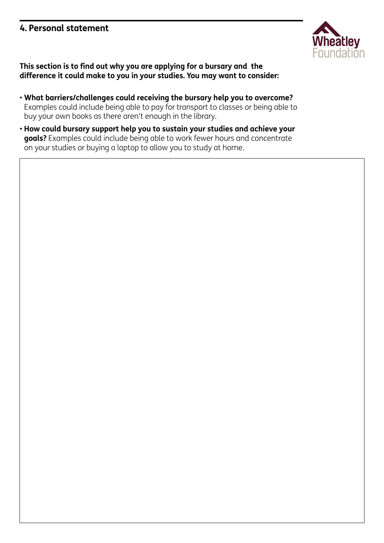#### **4. Personal statement**



**This section is to find out why you are applying for a bursary and the difference it could make to you in your studies. You may want to consider:**

- **What barriers/challenges could receiving the bursary help you to overcome?** Examples could include being able to pay for transport to classes or being able to buy your own books as there aren't enough in the library.
- **How could bursary support help you to sustain your studies and achieve your goals?** Examples could include being able to work fewer hours and concentrate on your studies or buying a laptop to allow you to study at home.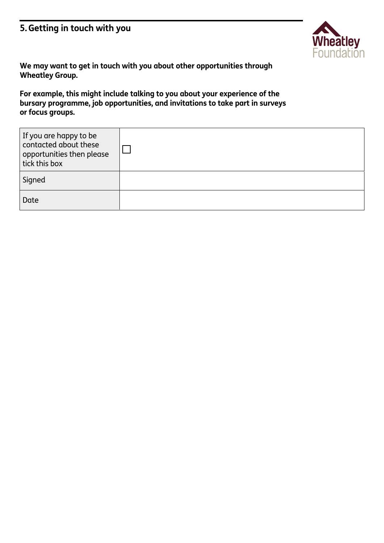## **5.Getting in touch with you**



**We may want to get in touch with you about other opportunities through Wheatley Group.** 

**For example, this might include talking to you about your experience of the bursary programme, job opportunities, and invitations to take part in surveys or focus groups.**

| If you are happy to be<br>contacted about these<br>opportunities then please<br>tick this box |  |
|-----------------------------------------------------------------------------------------------|--|
| Signed                                                                                        |  |
| Date                                                                                          |  |